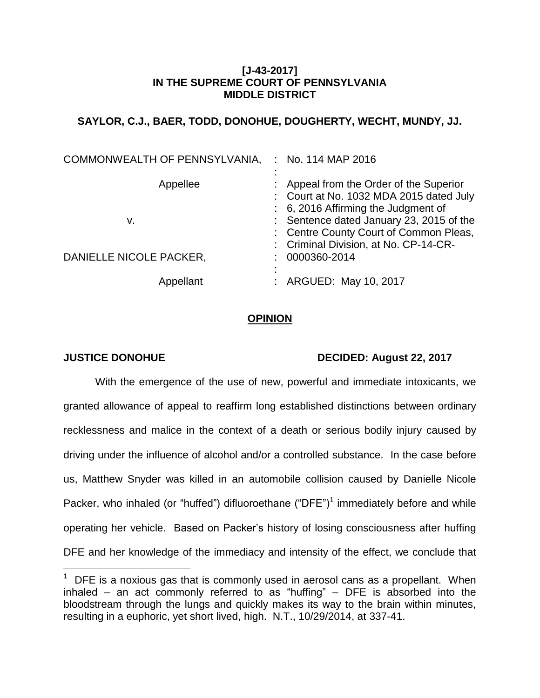## **[J-43-2017] IN THE SUPREME COURT OF PENNSYLVANIA MIDDLE DISTRICT**

# **SAYLOR, C.J., BAER, TODD, DONOHUE, DOUGHERTY, WECHT, MUNDY, JJ.**

| COMMONWEALTH OF PENNSYLVANIA, | : No. 114 MAP 2016                                                                                                          |
|-------------------------------|-----------------------------------------------------------------------------------------------------------------------------|
| Appellee                      | : Appeal from the Order of the Superior<br>: Court at No. 1032 MDA 2015 dated July<br>: 6, 2016 Affirming the Judgment of   |
| v.                            | : Sentence dated January 23, 2015 of the<br>: Centre County Court of Common Pleas,<br>: Criminal Division, at No. CP-14-CR- |
| DANIELLE NICOLE PACKER,       | 0000360-2014                                                                                                                |
| Appellant                     | ARGUED: May 10, 2017                                                                                                        |

## **OPINION**

 $\overline{a}$ 

## **JUSTICE DONOHUE DECIDED: August 22, 2017**

With the emergence of the use of new, powerful and immediate intoxicants, we granted allowance of appeal to reaffirm long established distinctions between ordinary recklessness and malice in the context of a death or serious bodily injury caused by driving under the influence of alcohol and/or a controlled substance. In the case before us, Matthew Snyder was killed in an automobile collision caused by Danielle Nicole Packer, who inhaled (or "huffed") difluoroethane  $("DFE")<sup>1</sup>$  immediately before and while operating her vehicle. Based on Packer's history of losing consciousness after huffing DFE and her knowledge of the immediacy and intensity of the effect, we conclude that

 $1$  DFE is a noxious gas that is commonly used in aerosol cans as a propellant. When inhaled  $-$  an act commonly referred to as "huffing"  $-$  DFE is absorbed into the bloodstream through the lungs and quickly makes its way to the brain within minutes, resulting in a euphoric, yet short lived, high. N.T., 10/29/2014, at 337-41.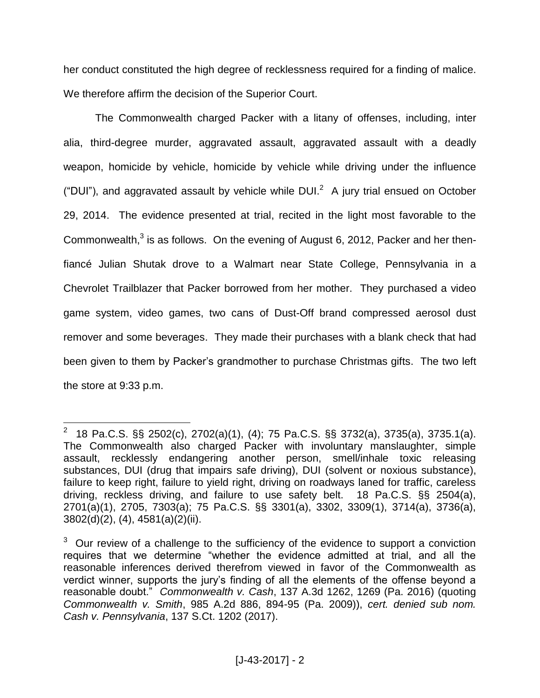her conduct constituted the high degree of recklessness required for a finding of malice. We therefore affirm the decision of the Superior Court.

The Commonwealth charged Packer with a litany of offenses, including, inter alia, third-degree murder, aggravated assault, aggravated assault with a deadly weapon, homicide by vehicle, homicide by vehicle while driving under the influence ("DUI"), and aggravated assault by vehicle while DUI. $^2$  A jury trial ensued on October 29, 2014. The evidence presented at trial, recited in the light most favorable to the Commonwealth, $3$  is as follows. On the evening of August 6, 2012, Packer and her thenfiancé Julian Shutak drove to a Walmart near State College, Pennsylvania in a Chevrolet Trailblazer that Packer borrowed from her mother. They purchased a video game system, video games, two cans of Dust-Off brand compressed aerosol dust remover and some beverages. They made their purchases with a blank check that had been given to them by Packer's grandmother to purchase Christmas gifts. The two left the store at 9:33 p.m.

 2 18 Pa.C.S. §§ 2502(c), 2702(a)(1), (4); 75 Pa.C.S. §§ 3732(a), 3735(a), 3735.1(a). The Commonwealth also charged Packer with involuntary manslaughter, simple assault, recklessly endangering another person, smell/inhale toxic releasing substances, DUI (drug that impairs safe driving), DUI (solvent or noxious substance), failure to keep right, failure to yield right, driving on roadways laned for traffic, careless driving, reckless driving, and failure to use safety belt. 18 Pa.C.S. §§ 2504(a), 2701(a)(1), 2705, 7303(a); 75 Pa.C.S. §§ 3301(a), 3302, 3309(1), 3714(a), 3736(a), 3802(d)(2), (4), 4581(a)(2)(ii).

 $3$  Our review of a challenge to the sufficiency of the evidence to support a conviction requires that we determine "whether the evidence admitted at trial, and all the reasonable inferences derived therefrom viewed in favor of the Commonwealth as verdict winner, supports the jury's finding of all the elements of the offense beyond a reasonable doubt." *Commonwealth v. Cash*, 137 A.3d 1262, 1269 (Pa. 2016) (quoting *Commonwealth v. Smith*, 985 A.2d 886, 894-95 (Pa. 2009)), *cert. denied sub nom. Cash v. Pennsylvania*, 137 S.Ct. 1202 (2017).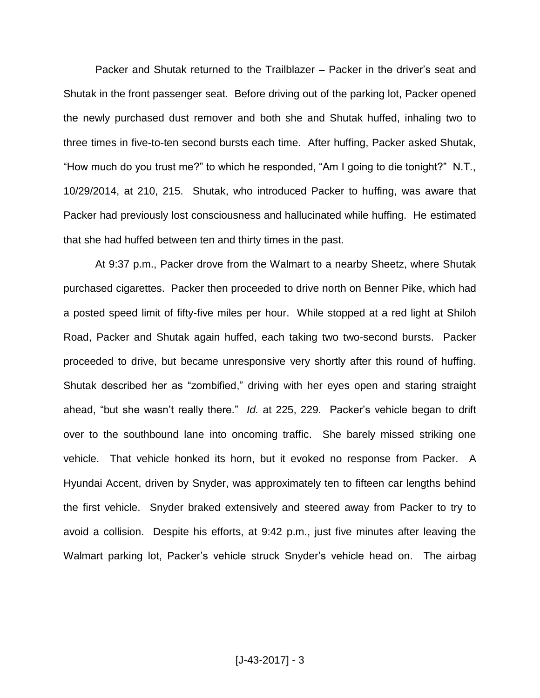Packer and Shutak returned to the Trailblazer – Packer in the driver's seat and Shutak in the front passenger seat. Before driving out of the parking lot, Packer opened the newly purchased dust remover and both she and Shutak huffed, inhaling two to three times in five-to-ten second bursts each time. After huffing, Packer asked Shutak, "How much do you trust me?" to which he responded, "Am I going to die tonight?" N.T., 10/29/2014, at 210, 215. Shutak, who introduced Packer to huffing, was aware that Packer had previously lost consciousness and hallucinated while huffing. He estimated that she had huffed between ten and thirty times in the past.

At 9:37 p.m., Packer drove from the Walmart to a nearby Sheetz, where Shutak purchased cigarettes. Packer then proceeded to drive north on Benner Pike, which had a posted speed limit of fifty-five miles per hour. While stopped at a red light at Shiloh Road, Packer and Shutak again huffed, each taking two two-second bursts. Packer proceeded to drive, but became unresponsive very shortly after this round of huffing. Shutak described her as "zombified," driving with her eyes open and staring straight ahead, "but she wasn't really there." *Id.* at 225, 229. Packer's vehicle began to drift over to the southbound lane into oncoming traffic. She barely missed striking one vehicle. That vehicle honked its horn, but it evoked no response from Packer. A Hyundai Accent, driven by Snyder, was approximately ten to fifteen car lengths behind the first vehicle. Snyder braked extensively and steered away from Packer to try to avoid a collision. Despite his efforts, at 9:42 p.m., just five minutes after leaving the Walmart parking lot, Packer's vehicle struck Snyder's vehicle head on. The airbag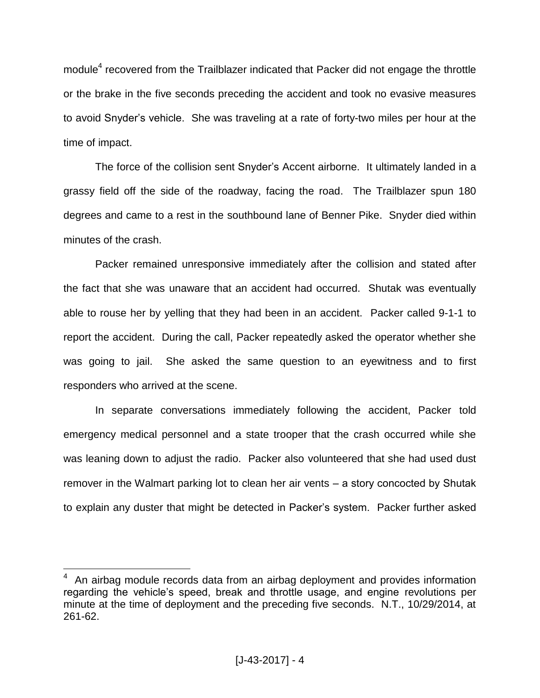module<sup>4</sup> recovered from the Trailblazer indicated that Packer did not engage the throttle or the brake in the five seconds preceding the accident and took no evasive measures to avoid Snyder's vehicle. She was traveling at a rate of forty-two miles per hour at the time of impact.

The force of the collision sent Snyder's Accent airborne. It ultimately landed in a grassy field off the side of the roadway, facing the road. The Trailblazer spun 180 degrees and came to a rest in the southbound lane of Benner Pike. Snyder died within minutes of the crash.

Packer remained unresponsive immediately after the collision and stated after the fact that she was unaware that an accident had occurred. Shutak was eventually able to rouse her by yelling that they had been in an accident. Packer called 9-1-1 to report the accident. During the call, Packer repeatedly asked the operator whether she was going to jail. She asked the same question to an eyewitness and to first responders who arrived at the scene.

In separate conversations immediately following the accident, Packer told emergency medical personnel and a state trooper that the crash occurred while she was leaning down to adjust the radio. Packer also volunteered that she had used dust remover in the Walmart parking lot to clean her air vents – a story concocted by Shutak to explain any duster that might be detected in Packer's system. Packer further asked

<sup>4</sup> An airbag module records data from an airbag deployment and provides information regarding the vehicle's speed, break and throttle usage, and engine revolutions per minute at the time of deployment and the preceding five seconds. N.T., 10/29/2014, at 261-62.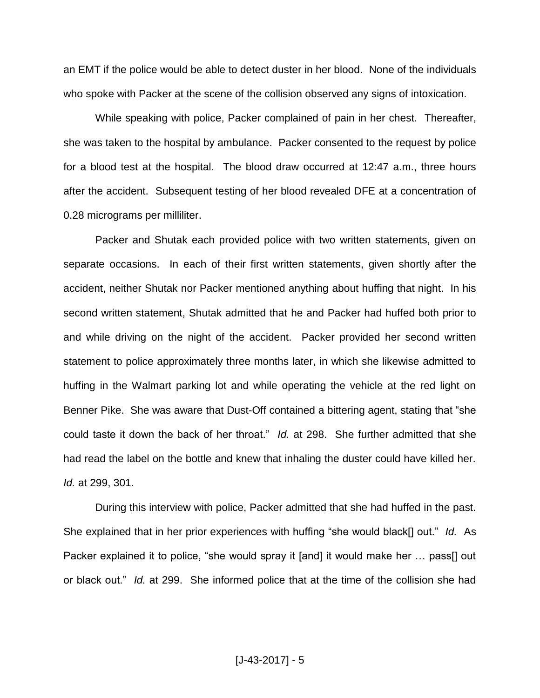an EMT if the police would be able to detect duster in her blood. None of the individuals who spoke with Packer at the scene of the collision observed any signs of intoxication.

While speaking with police, Packer complained of pain in her chest. Thereafter, she was taken to the hospital by ambulance. Packer consented to the request by police for a blood test at the hospital. The blood draw occurred at 12:47 a.m., three hours after the accident. Subsequent testing of her blood revealed DFE at a concentration of 0.28 micrograms per milliliter.

Packer and Shutak each provided police with two written statements, given on separate occasions. In each of their first written statements, given shortly after the accident, neither Shutak nor Packer mentioned anything about huffing that night. In his second written statement, Shutak admitted that he and Packer had huffed both prior to and while driving on the night of the accident. Packer provided her second written statement to police approximately three months later, in which she likewise admitted to huffing in the Walmart parking lot and while operating the vehicle at the red light on Benner Pike. She was aware that Dust-Off contained a bittering agent, stating that "she could taste it down the back of her throat." *Id.* at 298. She further admitted that she had read the label on the bottle and knew that inhaling the duster could have killed her. *Id.* at 299, 301.

During this interview with police, Packer admitted that she had huffed in the past. She explained that in her prior experiences with huffing "she would black[] out." *Id.* As Packer explained it to police, "she would spray it [and] it would make her … pass[] out or black out." *Id.* at 299. She informed police that at the time of the collision she had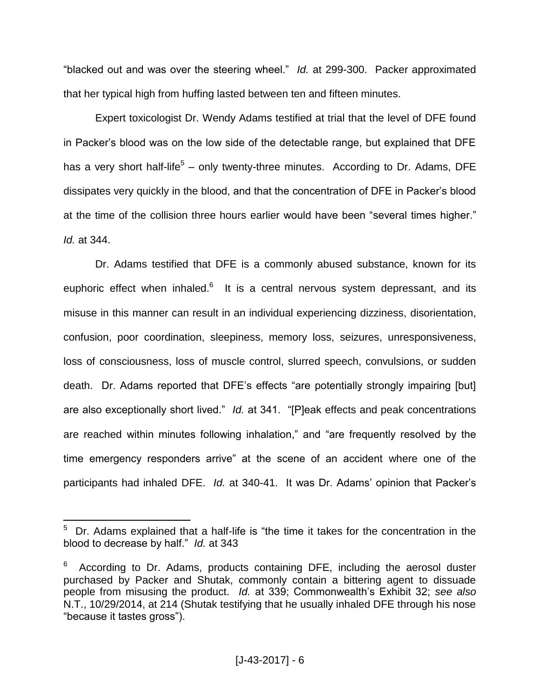"blacked out and was over the steering wheel." *Id.* at 299-300. Packer approximated that her typical high from huffing lasted between ten and fifteen minutes.

Expert toxicologist Dr. Wendy Adams testified at trial that the level of DFE found in Packer's blood was on the low side of the detectable range, but explained that DFE has a very short half-life<sup>5</sup> – only twenty-three minutes. According to Dr. Adams, DFE dissipates very quickly in the blood, and that the concentration of DFE in Packer's blood at the time of the collision three hours earlier would have been "several times higher." *Id.* at 344.

Dr. Adams testified that DFE is a commonly abused substance, known for its euphoric effect when inhaled.<sup>6</sup> It is a central nervous system depressant, and its misuse in this manner can result in an individual experiencing dizziness, disorientation, confusion, poor coordination, sleepiness, memory loss, seizures, unresponsiveness, loss of consciousness, loss of muscle control, slurred speech, convulsions, or sudden death. Dr. Adams reported that DFE's effects "are potentially strongly impairing [but] are also exceptionally short lived." *Id.* at 341. "[P]eak effects and peak concentrations are reached within minutes following inhalation," and "are frequently resolved by the time emergency responders arrive" at the scene of an accident where one of the participants had inhaled DFE. *Id.* at 340-41. It was Dr. Adams' opinion that Packer's

<sup>5</sup> Dr. Adams explained that a half-life is "the time it takes for the concentration in the blood to decrease by half." *Id.* at 343

<sup>6</sup> According to Dr. Adams, products containing DFE, including the aerosol duster purchased by Packer and Shutak, commonly contain a bittering agent to dissuade people from misusing the product. *Id.* at 339; Commonwealth's Exhibit 32; *see also*  N.T., 10/29/2014, at 214 (Shutak testifying that he usually inhaled DFE through his nose "because it tastes gross").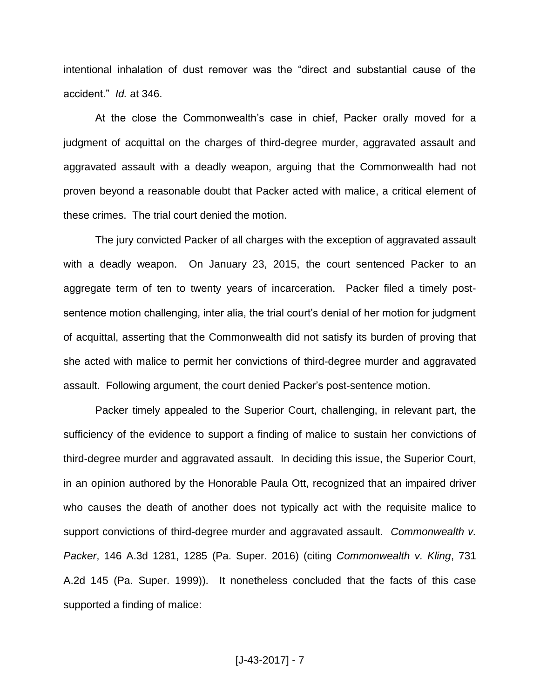intentional inhalation of dust remover was the "direct and substantial cause of the accident." *Id.* at 346.

At the close the Commonwealth's case in chief, Packer orally moved for a judgment of acquittal on the charges of third-degree murder, aggravated assault and aggravated assault with a deadly weapon, arguing that the Commonwealth had not proven beyond a reasonable doubt that Packer acted with malice, a critical element of these crimes. The trial court denied the motion.

The jury convicted Packer of all charges with the exception of aggravated assault with a deadly weapon. On January 23, 2015, the court sentenced Packer to an aggregate term of ten to twenty years of incarceration. Packer filed a timely postsentence motion challenging, inter alia, the trial court's denial of her motion for judgment of acquittal, asserting that the Commonwealth did not satisfy its burden of proving that she acted with malice to permit her convictions of third-degree murder and aggravated assault. Following argument, the court denied Packer's post-sentence motion.

Packer timely appealed to the Superior Court, challenging, in relevant part, the sufficiency of the evidence to support a finding of malice to sustain her convictions of third-degree murder and aggravated assault. In deciding this issue, the Superior Court, in an opinion authored by the Honorable Paula Ott, recognized that an impaired driver who causes the death of another does not typically act with the requisite malice to support convictions of third-degree murder and aggravated assault. *Commonwealth v. Packer*, 146 A.3d 1281, 1285 (Pa. Super. 2016) (citing *Commonwealth v. Kling*, 731 A.2d 145 (Pa. Super. 1999)). It nonetheless concluded that the facts of this case supported a finding of malice: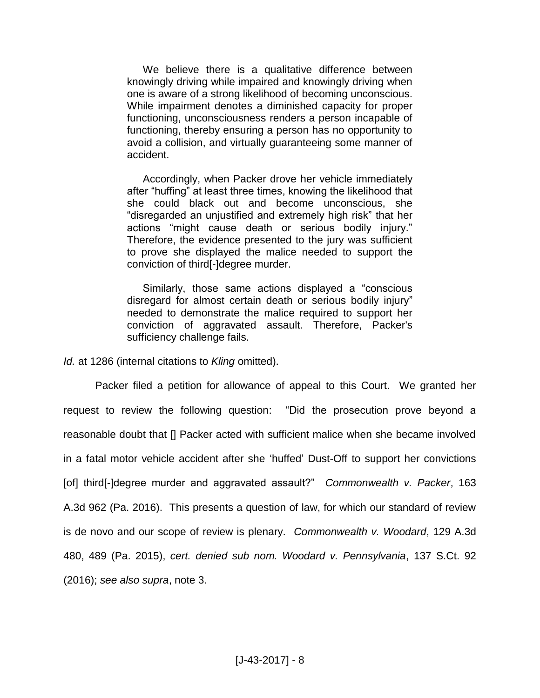We believe there is a qualitative difference between knowingly driving while impaired and knowingly driving when one is aware of a strong likelihood of becoming unconscious. While impairment denotes a diminished capacity for proper functioning, unconsciousness renders a person incapable of functioning, thereby ensuring a person has no opportunity to avoid a collision, and virtually guaranteeing some manner of accident.

Accordingly, when Packer drove her vehicle immediately after "huffing" at least three times, knowing the likelihood that she could black out and become unconscious, she "disregarded an unjustified and extremely high risk" that her actions "might cause death or serious bodily injury." Therefore, the evidence presented to the jury was sufficient to prove she displayed the malice needed to support the conviction of third[-]degree murder.

Similarly, those same actions displayed a "conscious disregard for almost certain death or serious bodily injury" needed to demonstrate the malice required to support her conviction of aggravated assault. Therefore, Packer's sufficiency challenge fails.

*Id.* at 1286 (internal citations to *Kling* omitted).

Packer filed a petition for allowance of appeal to this Court. We granted her request to review the following question: "Did the prosecution prove beyond a reasonable doubt that [] Packer acted with sufficient malice when she became involved in a fatal motor vehicle accident after she 'huffed' Dust-Off to support her convictions [of] third[-]degree murder and aggravated assault?" *Commonwealth v. Packer*, 163 A.3d 962 (Pa. 2016). This presents a question of law, for which our standard of review is de novo and our scope of review is plenary. *Commonwealth v. Woodard*, 129 A.3d 480, 489 (Pa. 2015), *cert. denied sub nom. Woodard v. Pennsylvania*, 137 S.Ct. 92 (2016); *see also supra*, note 3.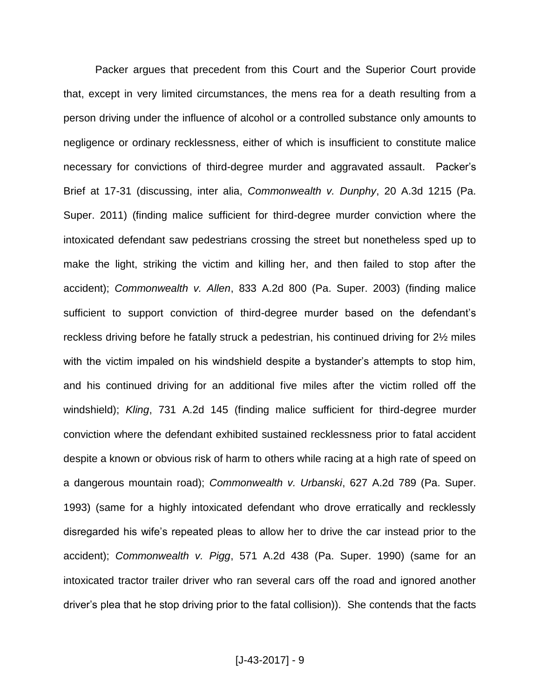Packer argues that precedent from this Court and the Superior Court provide that, except in very limited circumstances, the mens rea for a death resulting from a person driving under the influence of alcohol or a controlled substance only amounts to negligence or ordinary recklessness, either of which is insufficient to constitute malice necessary for convictions of third-degree murder and aggravated assault. Packer's Brief at 17-31 (discussing, inter alia, *Commonwealth v. Dunphy*, 20 A.3d 1215 (Pa. Super. 2011) (finding malice sufficient for third-degree murder conviction where the intoxicated defendant saw pedestrians crossing the street but nonetheless sped up to make the light, striking the victim and killing her, and then failed to stop after the accident); *Commonwealth v. Allen*, 833 A.2d 800 (Pa. Super. 2003) (finding malice sufficient to support conviction of third-degree murder based on the defendant's reckless driving before he fatally struck a pedestrian, his continued driving for 2½ miles with the victim impaled on his windshield despite a bystander's attempts to stop him, and his continued driving for an additional five miles after the victim rolled off the windshield); *Kling*, 731 A.2d 145 (finding malice sufficient for third-degree murder conviction where the defendant exhibited sustained recklessness prior to fatal accident despite a known or obvious risk of harm to others while racing at a high rate of speed on a dangerous mountain road); *Commonwealth v. Urbanski*, 627 A.2d 789 (Pa. Super. 1993) (same for a highly intoxicated defendant who drove erratically and recklessly disregarded his wife's repeated pleas to allow her to drive the car instead prior to the accident); *Commonwealth v. Pigg*, 571 A.2d 438 (Pa. Super. 1990) (same for an intoxicated tractor trailer driver who ran several cars off the road and ignored another driver's plea that he stop driving prior to the fatal collision)). She contends that the facts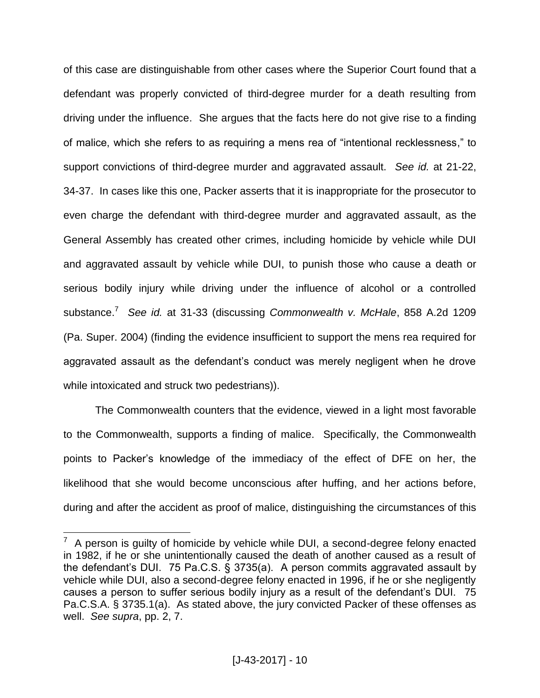of this case are distinguishable from other cases where the Superior Court found that a defendant was properly convicted of third-degree murder for a death resulting from driving under the influence. She argues that the facts here do not give rise to a finding of malice, which she refers to as requiring a mens rea of "intentional recklessness," to support convictions of third-degree murder and aggravated assault. *See id.* at 21-22, 34-37. In cases like this one, Packer asserts that it is inappropriate for the prosecutor to even charge the defendant with third-degree murder and aggravated assault, as the General Assembly has created other crimes, including homicide by vehicle while DUI and aggravated assault by vehicle while DUI, to punish those who cause a death or serious bodily injury while driving under the influence of alcohol or a controlled substance.<sup>7</sup> *See id.* at 31-33 (discussing *Commonwealth v. McHale*, 858 A.2d 1209 (Pa. Super. 2004) (finding the evidence insufficient to support the mens rea required for aggravated assault as the defendant's conduct was merely negligent when he drove while intoxicated and struck two pedestrians)).

The Commonwealth counters that the evidence, viewed in a light most favorable to the Commonwealth, supports a finding of malice. Specifically, the Commonwealth points to Packer's knowledge of the immediacy of the effect of DFE on her, the likelihood that she would become unconscious after huffing, and her actions before, during and after the accident as proof of malice, distinguishing the circumstances of this

<sup>7</sup> A person is guilty of homicide by vehicle while DUI, a second-degree felony enacted in 1982, if he or she unintentionally caused the death of another caused as a result of the defendant's DUI. 75 Pa.C.S. § 3735(a). A person commits aggravated assault by vehicle while DUI, also a second-degree felony enacted in 1996, if he or she negligently causes a person to suffer serious bodily injury as a result of the defendant's DUI. 75 Pa.C.S.A. § 3735.1(a). As stated above, the jury convicted Packer of these offenses as well. *See supra*, pp. 2, 7.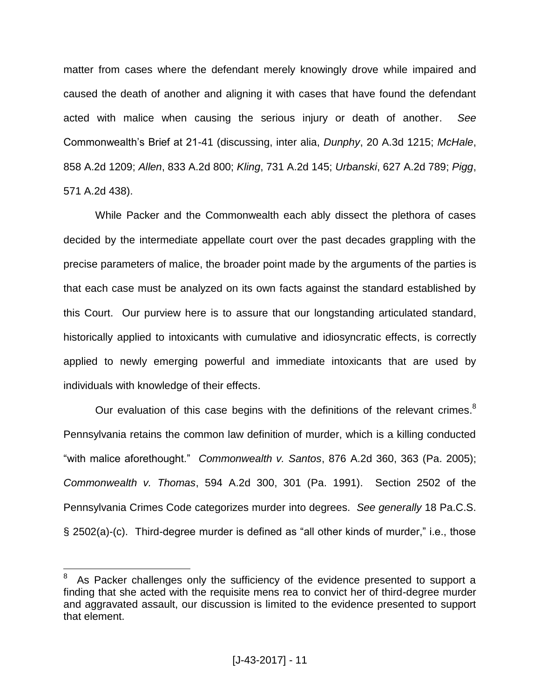matter from cases where the defendant merely knowingly drove while impaired and caused the death of another and aligning it with cases that have found the defendant acted with malice when causing the serious injury or death of another. *See* Commonwealth's Brief at 21-41 (discussing, inter alia, *Dunphy*, 20 A.3d 1215; *McHale*, 858 A.2d 1209; *Allen*, 833 A.2d 800; *Kling*, 731 A.2d 145; *Urbanski*, 627 A.2d 789; *Pigg*, 571 A.2d 438).

While Packer and the Commonwealth each ably dissect the plethora of cases decided by the intermediate appellate court over the past decades grappling with the precise parameters of malice, the broader point made by the arguments of the parties is that each case must be analyzed on its own facts against the standard established by this Court. Our purview here is to assure that our longstanding articulated standard, historically applied to intoxicants with cumulative and idiosyncratic effects, is correctly applied to newly emerging powerful and immediate intoxicants that are used by individuals with knowledge of their effects.

Our evaluation of this case begins with the definitions of the relevant crimes. $8$ Pennsylvania retains the common law definition of murder, which is a killing conducted "with malice aforethought." *Commonwealth v. Santos*, 876 A.2d 360, 363 (Pa. 2005); *Commonwealth v. Thomas*, 594 A.2d 300, 301 (Pa. 1991). Section 2502 of the Pennsylvania Crimes Code categorizes murder into degrees. *See generally* 18 Pa.C.S. § 2502(a)-(c). Third-degree murder is defined as "all other kinds of murder," i.e., those

<sup>8</sup> As Packer challenges only the sufficiency of the evidence presented to support a finding that she acted with the requisite mens rea to convict her of third-degree murder and aggravated assault, our discussion is limited to the evidence presented to support that element.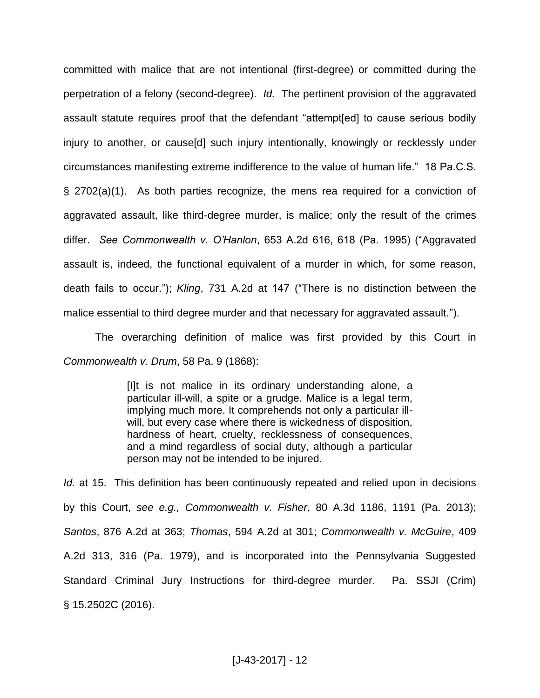committed with malice that are not intentional (first-degree) or committed during the perpetration of a felony (second-degree). *Id.* The pertinent provision of the aggravated assault statute requires proof that the defendant "attempt[ed] to cause serious bodily injury to another, or cause[d] such injury intentionally, knowingly or recklessly under circumstances manifesting extreme indifference to the value of human life." 18 Pa.C.S. § 2702(a)(1). As both parties recognize, the mens rea required for a conviction of aggravated assault, like third-degree murder, is malice; only the result of the crimes differ. *See Commonwealth v. O'Hanlon*, 653 A.2d 616, 618 (Pa. 1995) ("Aggravated assault is, indeed, the functional equivalent of a murder in which, for some reason, death fails to occur."); *Kling*, 731 A.2d at 147 ("There is no distinction between the malice essential to third degree murder and that necessary for aggravated assault.").

The overarching definition of malice was first provided by this Court in *Commonwealth v. Drum*, 58 Pa. 9 (1868):

> [I]t is not malice in its ordinary understanding alone, a particular ill-will, a spite or a grudge. Malice is a legal term, implying much more. It comprehends not only a particular illwill, but every case where there is wickedness of disposition, hardness of heart, cruelty, recklessness of consequences, and a mind regardless of social duty, although a particular person may not be intended to be injured.

*Id.* at 15. This definition has been continuously repeated and relied upon in decisions by this Court, *see e.g., Commonwealth v. Fisher*, 80 A.3d 1186, 1191 (Pa. 2013); *Santos*, 876 A.2d at 363; *Thomas*, 594 A.2d at 301; *Commonwealth v. McGuire*, 409 A.2d 313, 316 (Pa. 1979), and is incorporated into the Pennsylvania Suggested Standard Criminal Jury Instructions for third-degree murder. Pa. SSJI (Crim) § 15.2502C (2016).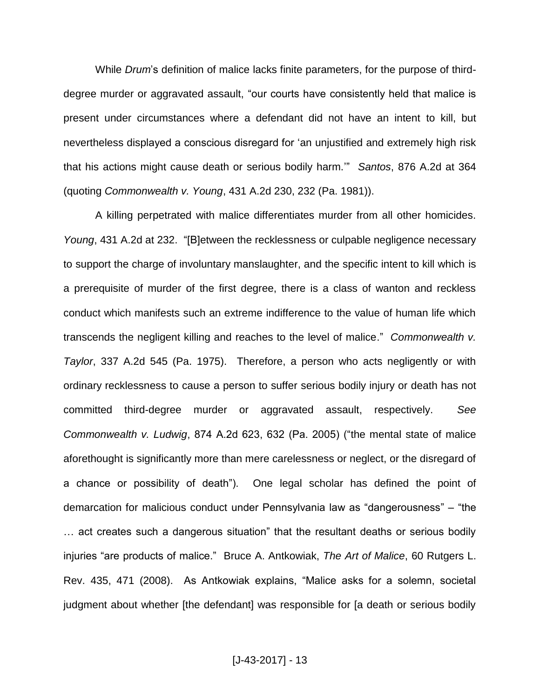While *Drum*'s definition of malice lacks finite parameters, for the purpose of thirddegree murder or aggravated assault, "our courts have consistently held that malice is present under circumstances where a defendant did not have an intent to kill, but nevertheless displayed a conscious disregard for 'an unjustified and extremely high risk that his actions might cause death or serious bodily harm.'" *Santos*, 876 A.2d at 364 (quoting *Commonwealth v. Young*, 431 A.2d 230, 232 (Pa. 1981)).

A killing perpetrated with malice differentiates murder from all other homicides. *Young*, 431 A.2d at 232. "[B]etween the recklessness or culpable negligence necessary to support the charge of involuntary manslaughter, and the specific intent to kill which is a prerequisite of murder of the first degree, there is a class of wanton and reckless conduct which manifests such an extreme indifference to the value of human life which transcends the negligent killing and reaches to the level of malice." *Commonwealth v. Taylor*, 337 A.2d 545 (Pa. 1975). Therefore, a person who acts negligently or with ordinary recklessness to cause a person to suffer serious bodily injury or death has not committed third-degree murder or aggravated assault, respectively. *See Commonwealth v. Ludwig*, 874 A.2d 623, 632 (Pa. 2005) ("the mental state of malice aforethought is significantly more than mere carelessness or neglect, or the disregard of a chance or possibility of death"). One legal scholar has defined the point of demarcation for malicious conduct under Pennsylvania law as "dangerousness" ‒ "the … act creates such a dangerous situation" that the resultant deaths or serious bodily injuries "are products of malice." Bruce A. Antkowiak, *The Art of Malice*, 60 Rutgers L. Rev. 435, 471 (2008). As Antkowiak explains, "Malice asks for a solemn, societal judgment about whether [the defendant] was responsible for [a death or serious bodily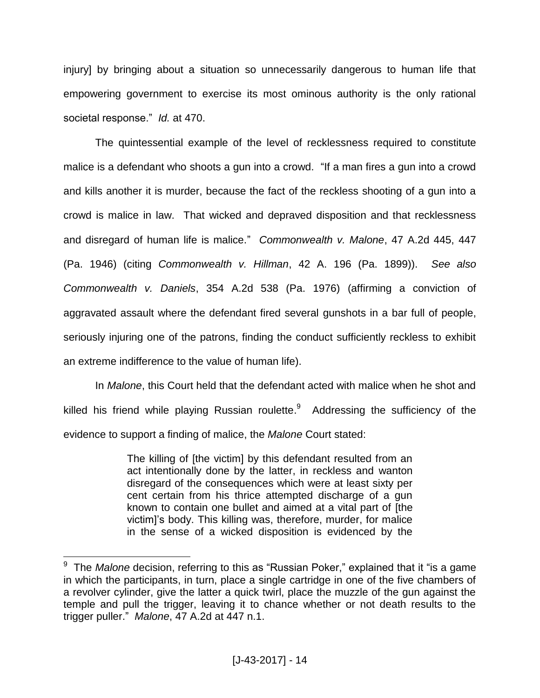injury] by bringing about a situation so unnecessarily dangerous to human life that empowering government to exercise its most ominous authority is the only rational societal response." *Id.* at 470.

The quintessential example of the level of recklessness required to constitute malice is a defendant who shoots a gun into a crowd. "If a man fires a gun into a crowd and kills another it is murder, because the fact of the reckless shooting of a gun into a crowd is malice in law. That wicked and depraved disposition and that recklessness and disregard of human life is malice." *Commonwealth v. Malone*, 47 A.2d 445, 447 (Pa. 1946) (citing *Commonwealth v. Hillman*, 42 A. 196 (Pa. 1899)). *See also Commonwealth v. Daniels*, 354 A.2d 538 (Pa. 1976) (affirming a conviction of aggravated assault where the defendant fired several gunshots in a bar full of people, seriously injuring one of the patrons, finding the conduct sufficiently reckless to exhibit an extreme indifference to the value of human life).

In *Malone*, this Court held that the defendant acted with malice when he shot and killed his friend while playing Russian roulette.<sup>9</sup> Addressing the sufficiency of the evidence to support a finding of malice, the *Malone* Court stated:

> The killing of [the victim] by this defendant resulted from an act intentionally done by the latter, in reckless and wanton disregard of the consequences which were at least sixty per cent certain from his thrice attempted discharge of a gun known to contain one bullet and aimed at a vital part of [the victim]'s body. This killing was, therefore, murder, for malice in the sense of a wicked disposition is evidenced by the

 9 The *Malone* decision, referring to this as "Russian Poker," explained that it "is a game in which the participants, in turn, place a single cartridge in one of the five chambers of a revolver cylinder, give the latter a quick twirl, place the muzzle of the gun against the temple and pull the trigger, leaving it to chance whether or not death results to the trigger puller." *Malone*, 47 A.2d at 447 n.1.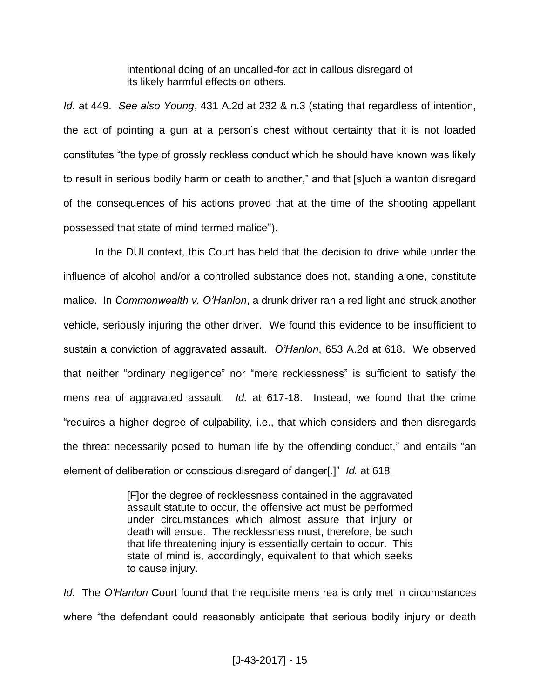intentional doing of an uncalled-for act in callous disregard of its likely harmful effects on others.

*Id.* at 449. *See also Young*, 431 A.2d at 232 & n.3 (stating that regardless of intention, the act of pointing a gun at a person's chest without certainty that it is not loaded constitutes "the type of grossly reckless conduct which he should have known was likely to result in serious bodily harm or death to another," and that [s]uch a wanton disregard of the consequences of his actions proved that at the time of the shooting appellant possessed that state of mind termed malice").

In the DUI context, this Court has held that the decision to drive while under the influence of alcohol and/or a controlled substance does not, standing alone, constitute malice. In *Commonwealth v. O'Hanlon*, a drunk driver ran a red light and struck another vehicle, seriously injuring the other driver. We found this evidence to be insufficient to sustain a conviction of aggravated assault. *O'Hanlon*, 653 A.2d at 618. We observed that neither "ordinary negligence" nor "mere recklessness" is sufficient to satisfy the mens rea of aggravated assault. *Id.* at 617-18. Instead, we found that the crime "requires a higher degree of culpability, i.e., that which considers and then disregards the threat necessarily posed to human life by the offending conduct," and entails "an element of deliberation or conscious disregard of danger[.]" *Id.* at 618*.*

> [F]or the degree of recklessness contained in the aggravated assault statute to occur, the offensive act must be performed under circumstances which almost assure that injury or death will ensue. The recklessness must, therefore, be such that life threatening injury is essentially certain to occur. This state of mind is, accordingly, equivalent to that which seeks to cause injury.

*Id.* The *O'Hanlon* Court found that the requisite mens rea is only met in circumstances where "the defendant could reasonably anticipate that serious bodily injury or death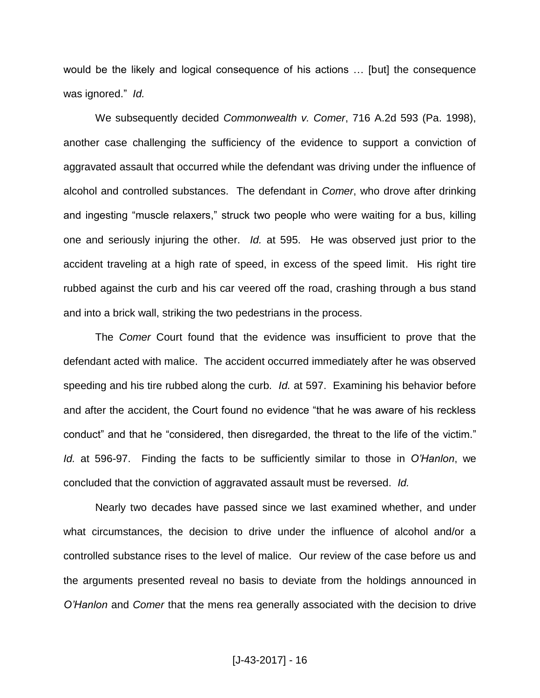would be the likely and logical consequence of his actions … [but] the consequence was ignored." *Id.*

We subsequently decided *Commonwealth v. Comer*, 716 A.2d 593 (Pa. 1998), another case challenging the sufficiency of the evidence to support a conviction of aggravated assault that occurred while the defendant was driving under the influence of alcohol and controlled substances. The defendant in *Comer*, who drove after drinking and ingesting "muscle relaxers," struck two people who were waiting for a bus, killing one and seriously injuring the other. *Id.* at 595. He was observed just prior to the accident traveling at a high rate of speed, in excess of the speed limit. His right tire rubbed against the curb and his car veered off the road, crashing through a bus stand and into a brick wall, striking the two pedestrians in the process.

The *Comer* Court found that the evidence was insufficient to prove that the defendant acted with malice. The accident occurred immediately after he was observed speeding and his tire rubbed along the curb. *Id.* at 597. Examining his behavior before and after the accident, the Court found no evidence "that he was aware of his reckless conduct" and that he "considered, then disregarded, the threat to the life of the victim." *Id.* at 596-97. Finding the facts to be sufficiently similar to those in *O'Hanlon*, we concluded that the conviction of aggravated assault must be reversed. *Id.*

Nearly two decades have passed since we last examined whether, and under what circumstances, the decision to drive under the influence of alcohol and/or a controlled substance rises to the level of malice. Our review of the case before us and the arguments presented reveal no basis to deviate from the holdings announced in *O'Hanlon* and *Comer* that the mens rea generally associated with the decision to drive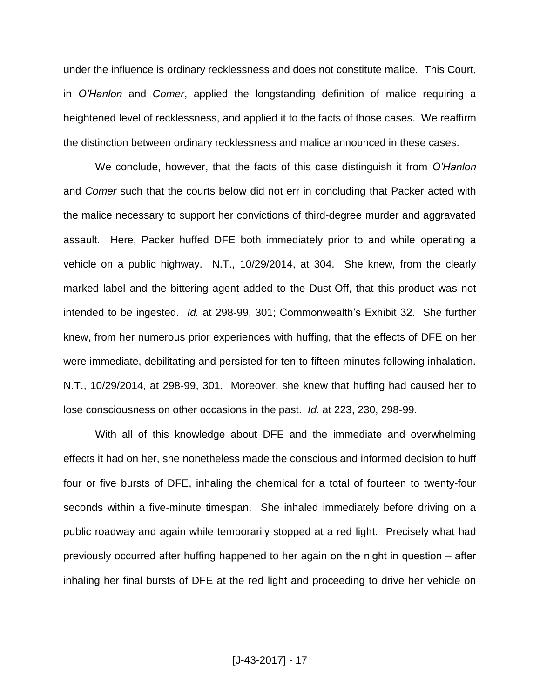under the influence is ordinary recklessness and does not constitute malice. This Court, in *O'Hanlon* and *Comer*, applied the longstanding definition of malice requiring a heightened level of recklessness, and applied it to the facts of those cases. We reaffirm the distinction between ordinary recklessness and malice announced in these cases.

We conclude, however, that the facts of this case distinguish it from *O'Hanlon* and *Comer* such that the courts below did not err in concluding that Packer acted with the malice necessary to support her convictions of third-degree murder and aggravated assault. Here, Packer huffed DFE both immediately prior to and while operating a vehicle on a public highway. N.T., 10/29/2014, at 304. She knew, from the clearly marked label and the bittering agent added to the Dust-Off, that this product was not intended to be ingested. *Id.* at 298-99, 301; Commonwealth's Exhibit 32. She further knew, from her numerous prior experiences with huffing, that the effects of DFE on her were immediate, debilitating and persisted for ten to fifteen minutes following inhalation. N.T., 10/29/2014, at 298-99, 301. Moreover, she knew that huffing had caused her to lose consciousness on other occasions in the past. *Id.* at 223, 230, 298-99.

With all of this knowledge about DFE and the immediate and overwhelming effects it had on her, she nonetheless made the conscious and informed decision to huff four or five bursts of DFE, inhaling the chemical for a total of fourteen to twenty-four seconds within a five-minute timespan. She inhaled immediately before driving on a public roadway and again while temporarily stopped at a red light. Precisely what had previously occurred after huffing happened to her again on the night in question – after inhaling her final bursts of DFE at the red light and proceeding to drive her vehicle on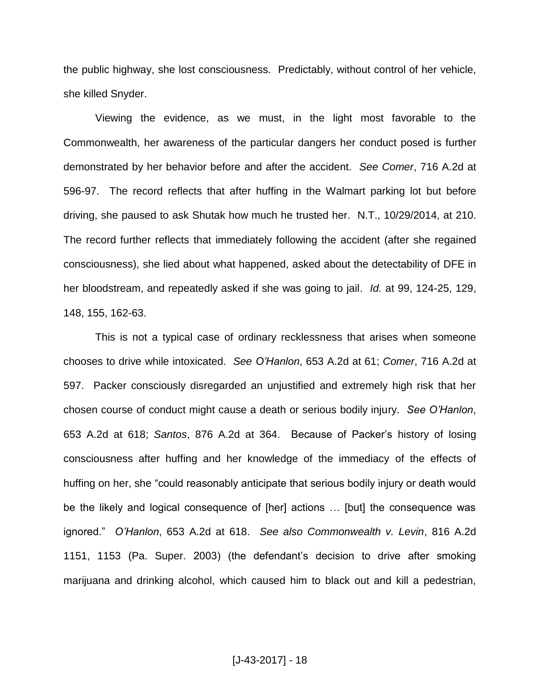the public highway, she lost consciousness. Predictably, without control of her vehicle, she killed Snyder.

Viewing the evidence, as we must, in the light most favorable to the Commonwealth, her awareness of the particular dangers her conduct posed is further demonstrated by her behavior before and after the accident. *See Comer*, 716 A.2d at 596-97. The record reflects that after huffing in the Walmart parking lot but before driving, she paused to ask Shutak how much he trusted her. N.T., 10/29/2014, at 210. The record further reflects that immediately following the accident (after she regained consciousness), she lied about what happened, asked about the detectability of DFE in her bloodstream, and repeatedly asked if she was going to jail. *Id.* at 99, 124-25, 129, 148, 155, 162-63.

This is not a typical case of ordinary recklessness that arises when someone chooses to drive while intoxicated. *See O'Hanlon*, 653 A.2d at 61; *Comer*, 716 A.2d at 597. Packer consciously disregarded an unjustified and extremely high risk that her chosen course of conduct might cause a death or serious bodily injury. *See O'Hanlon*, 653 A.2d at 618; *Santos*, 876 A.2d at 364. Because of Packer's history of losing consciousness after huffing and her knowledge of the immediacy of the effects of huffing on her, she "could reasonably anticipate that serious bodily injury or death would be the likely and logical consequence of [her] actions … [but] the consequence was ignored." *O'Hanlon*, 653 A.2d at 618. *See also Commonwealth v. Levin*, 816 A.2d 1151, 1153 (Pa. Super. 2003) (the defendant's decision to drive after smoking marijuana and drinking alcohol, which caused him to black out and kill a pedestrian,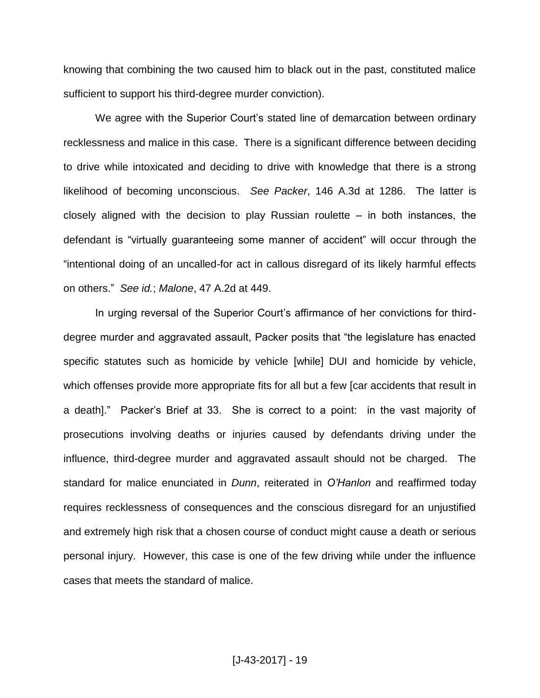knowing that combining the two caused him to black out in the past, constituted malice sufficient to support his third-degree murder conviction).

We agree with the Superior Court's stated line of demarcation between ordinary recklessness and malice in this case. There is a significant difference between deciding to drive while intoxicated and deciding to drive with knowledge that there is a strong likelihood of becoming unconscious. *See Packer*, 146 A.3d at 1286. The latter is closely aligned with the decision to play Russian roulette  $-$  in both instances, the defendant is "virtually guaranteeing some manner of accident" will occur through the "intentional doing of an uncalled-for act in callous disregard of its likely harmful effects on others." *See id.*; *Malone*, 47 A.2d at 449.

In urging reversal of the Superior Court's affirmance of her convictions for thirddegree murder and aggravated assault, Packer posits that "the legislature has enacted specific statutes such as homicide by vehicle [while] DUI and homicide by vehicle, which offenses provide more appropriate fits for all but a few [car accidents that result in a death]." Packer's Brief at 33. She is correct to a point: in the vast majority of prosecutions involving deaths or injuries caused by defendants driving under the influence, third-degree murder and aggravated assault should not be charged. The standard for malice enunciated in *Dunn*, reiterated in *O'Hanlon* and reaffirmed today requires recklessness of consequences and the conscious disregard for an unjustified and extremely high risk that a chosen course of conduct might cause a death or serious personal injury. However, this case is one of the few driving while under the influence cases that meets the standard of malice.